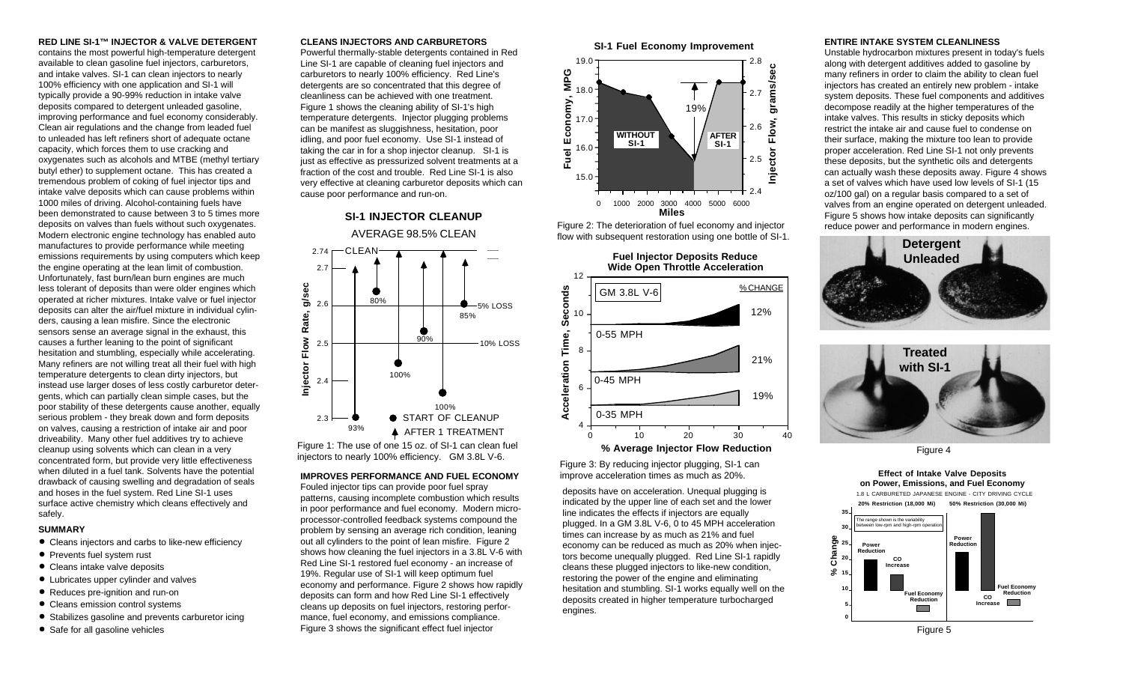**RED LINE SI-1™ INJECTOR & VALVE DETERGENT** contains the most powerful high-temperature detergent available to clean gasoline fuel injectors, carburetors, and intake valves. SI-1 can clean injectors to nearly 100% efficiency with one application and SI-1 will typically provide a 90-99% reduction in intake valve deposits compared to detergent unleaded gasoline, improving performance and fuel economy considerably. Clean air regulations and the change from leaded fuel to unleaded has left refiners short of adequate octane capacity, which forces them to use cracking and oxygenates such as alcohols and MTBE (methyl tertiary butyl ether) to supplement octane. This has created a tremendous problem of coking of fuel injector tips and intake valve deposits which can cause problems within 1000 miles of driving. Alcohol-containing fuels have been demonstrated to cause between 3 to 5 times more deposits on valves than fuels without such oxygenates. Modern electronic engine technology has enabled auto manufactures to provide performance while meeting emissions requirements by using computers which keep the engine operating at the lean limit of combustion. Unfortunately, fast burn/lean burn engines are much less tolerant of deposits than were older engines which operated at richer mixtures. Intake valve or fuel injector deposits can alter the air/fuel mixture in individual cylinders, causing a lean misfire. Since the electronic sensors sense an average signal in the exhaust, this causes a further leaning to the point of significant hesitation and stumbling, especially while accelerating. Many refiners are not willing treat all their fuel with high temperature detergents to clean dirty injectors, but instead use larger doses of less costly carburetor detergents, which can partially clean simple cases, but the poor stability of these detergents cause another, equally serious problem - they break down and form deposits on valves, causing a restriction of intake air and poor driveability. Many other fuel additives try to achieve cleanup using solvents which can clean in a very concentrated form, but provide very little effectiveness when diluted in a fuel tank. Solvents have the potential drawback of causing swelling and degradation of seals and hoses in the fuel system. Red Line SI-1 uses surface active chemistry which cleans effectively and safely.

#### **SUMMARY**

- **•** Cleans injectors and carbs to like-new efficiency
- **•** Prevents fuel system rust
- **•** Cleans intake valve deposits
- **•** Lubricates upper cylinder and valves
- **•** Reduces pre-ignition and run-on
- **•** Cleans emission control systems
- **•** Stabilizes gasoline and prevents carburetor icing
- **•** Safe for all gasoline vehicles

#### **CLEANS INJECTORS AND CARBURETORS**

Powerful thermally-stable detergents contained in Red Line SI-1 are capable of cleaning fuel injectors and carburetors to nearly 100% efficiency. Red Line's detergents are so concentrated that this degree of cleanliness can be achieved with one treatment. Figure 1 shows the cleaning ability of SI-1's high temperature detergents. Injector plugging problems can be manifest as sluggishness, hesitation, poor idling, and poor fuel economy. Use SI-1 instead of taking the car in for a shop injector cleanup. SI-1 is just as effective as pressurized solvent treatments at a fraction of the cost and trouble. Red Line SI-1 is also very effective at cleaning carburetor deposits which can cause poor performance and run-on.

#### **SI-1 INJECTOR CLEANUP** AVERAGE 98.5% CLEAN CLEAN 2.74 2.7 g/sec **Injector Flow Rate, g/sec** 80% 2.6 5% LOSS Rate, 85% Flow 90% 10% LOSS 2.5 Injector 100% 2.4 100% START OF CLEANUP 2.3

93% **A** AFTER 1 TREATMENT Figure 1: The use of one 15 oz. of SI-1 can clean fuel

## injectors to nearly 100% efficiency. GM 3.8L V-6.<br>Figure 3: By reducing injector plugging, SI-1 can

### **IMPROVES PERFORMANCE AND FUEL ECONOMY**

Fouled injector tips can provide poor fuel spray patterns, causing incomplete combustion which results in poor performance and fuel economy. Modern microprocessor-controlled feedback systems compound the problem by sensing an average rich condition, leaning out all cylinders to the point of lean misfire. Figure 2 shows how cleaning the fuel injectors in a 3.8L V-6 with Red Line SI-1 restored fuel economy - an increase of 19%. Regular use of SI-1 will keep optimum fuel economy and performance. Figure 2 shows how rapidly deposits can form and how Red Line SI-1 effectively cleans up deposits on fuel injectors, restoring performance, fuel economy, and emissions compliance. Figure 3 shows the significant effect fuel injector





Figure 2: The deterioration of fuel economy and injector



improve acceleration times as much as 20%.

deposits have on acceleration. Unequal plugging is indicated by the upper line of each set and the lower line indicates the effects if injectors are equally plugged. In a GM 3.8L V-6, 0 to 45 MPH acceleration times can increase by as much as 21% and fuel economy can be reduced as much as 20% when injectors become unequally plugged. Red Line SI-1 rapidly cleans these plugged injectors to like-new condition, restoring the power of the engine and eliminating hesitation and stumbling. SI-1 works equally well on the deposits created in higher temperature turbocharged engines.

#### **ENTIRE INTAKE SYSTEM CLEANLINESS**

Unstable hydrocarbon mixtures present in today's fuels along with detergent additives added to gasoline by many refiners in order to claim the ability to clean fuel injectors has created an entirely new problem - intake system deposits. These fuel components and additives decompose readily at the higher temperatures of the intake valves. This results in sticky deposits which restrict the intake air and cause fuel to condense on their surface, making the mixture too lean to provide proper acceleration. Red Line SI-1 not only prevents these deposits, but the synthetic oils and detergents can actually wash these deposits away. Figure 4 shows a set of valves which have used low levels of SI-1 (15 oz/100 gal) on a regular basis compared to a set of valves from an engine operated on detergent unleaded. Figure 5 shows how intake deposits can significantly reduce power and performance in modern engines.





Figure 4





Figure 5